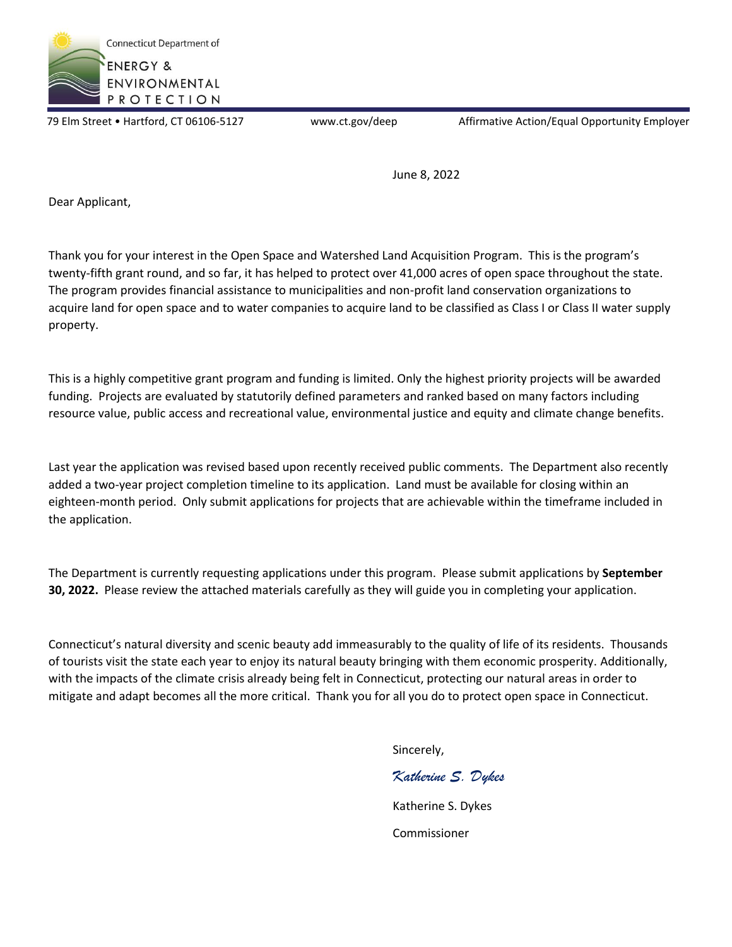

79 Elm Street • Hartford, CT 06106-5127 www.ct.gov/deep Affirmative Action/Equal Opportunity Employer

June 8, 2022

Dear Applicant,

Thank you for your interest in the Open Space and Watershed Land Acquisition Program. This is the program's twenty-fifth grant round, and so far, it has helped to protect over 41,000 acres of open space throughout the state. The program provides financial assistance to municipalities and non-profit land conservation organizations to acquire land for open space and to water companies to acquire land to be classified as Class I or Class II water supply property.

This is a highly competitive grant program and funding is limited. Only the highest priority projects will be awarded funding. Projects are evaluated by statutorily defined parameters and ranked based on many factors including resource value, public access and recreational value, environmental justice and equity and climate change benefits.

Last year the application was revised based upon recently received public comments. The Department also recently added a two-year project completion timeline to its application. Land must be available for closing within an eighteen-month period. Only submit applications for projects that are achievable within the timeframe included in the application.

The Department is currently requesting applications under this program. Please submit applications by **September 30, 2022.** Please review the attached materials carefully as they will guide you in completing your application.

Connecticut's natural diversity and scenic beauty add immeasurably to the quality of life of its residents. Thousands of tourists visit the state each year to enjoy its natural beauty bringing with them economic prosperity. Additionally, with the impacts of the climate crisis already being felt in Connecticut, protecting our natural areas in order to mitigate and adapt becomes all the more critical. Thank you for all you do to protect open space in Connecticut.

Sincerely,

Katherine S. Dykes Commissioner

*Katherine S. Dykes*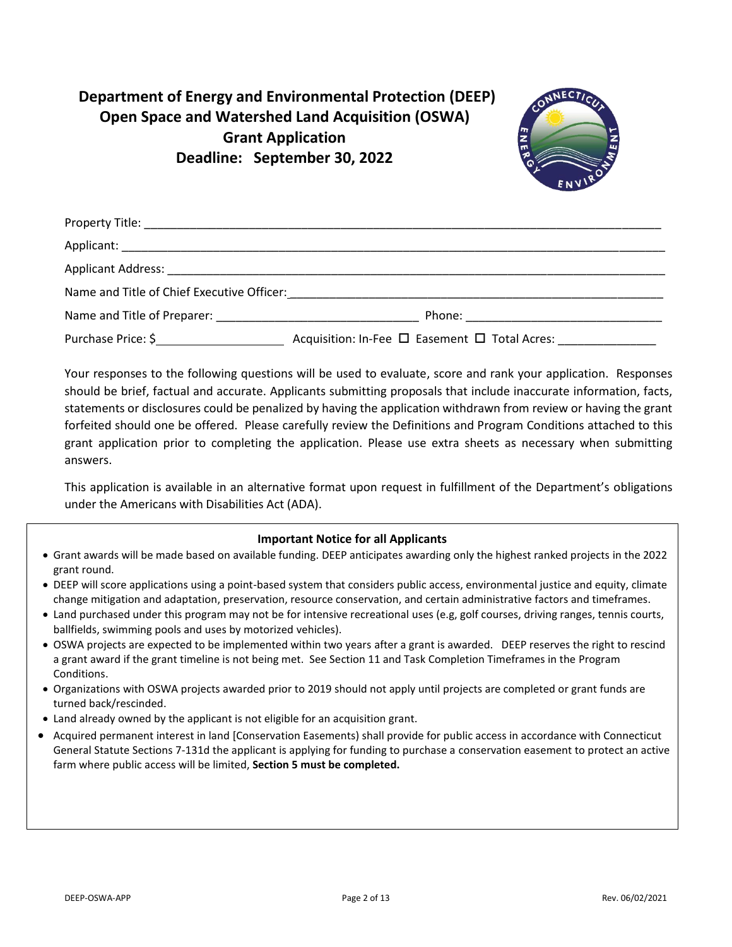# **Department of Energy and Environmental Protection (DEEP) Open Space and Watershed Land Acquisition (OSWA) Grant Application Deadline: September 30, 2022**



|                    | Name and Title of Chief Executive Officer: Name and Title of Chief Executive Officer: |  |  |  |
|--------------------|---------------------------------------------------------------------------------------|--|--|--|
|                    |                                                                                       |  |  |  |
| Purchase Price: \$ | Acquisition: In-Fee □ Easement □ Total Acres: _______________                         |  |  |  |

Your responses to the following questions will be used to evaluate, score and rank your application. Responses should be brief, factual and accurate. Applicants submitting proposals that include inaccurate information, facts, statements or disclosures could be penalized by having the application withdrawn from review or having the grant forfeited should one be offered. Please carefully review the Definitions and Program Conditions attached to this grant application prior to completing the application. Please use extra sheets as necessary when submitting answers.

This application is available in an alternative format upon request in fulfillment of the Department's obligations under the Americans with Disabilities Act (ADA).

# **Important Notice for all Applicants**

- Grant awards will be made based on available funding. DEEP anticipates awarding only the highest ranked projects in the 2022 grant round.
- DEEP will score applications using a point-based system that considers public access, environmental justice and equity, climate change mitigation and adaptation, preservation, resource conservation, and certain administrative factors and timeframes.
- Land purchased under this program may not be for intensive recreational uses (e.g, golf courses, driving ranges, tennis courts, ballfields, swimming pools and uses by motorized vehicles).
- OSWA projects are expected to be implemented within two years after a grant is awarded. DEEP reserves the right to rescind a grant award if the grant timeline is not being met. See Section 11 and Task Completion Timeframes in the Program Conditions.
- Organizations with OSWA projects awarded prior to 2019 should not apply until projects are completed or grant funds are turned back/rescinded.
- Land already owned by the applicant is not eligible for an acquisition grant.
- Acquired permanent interest in land [Conservation Easements) shall provide for public access in accordance with Connecticut General Statute Sections 7-131d the applicant is applying for funding to purchase a conservation easement to protect an active farm where public access will be limited, **Section 5 must be completed.**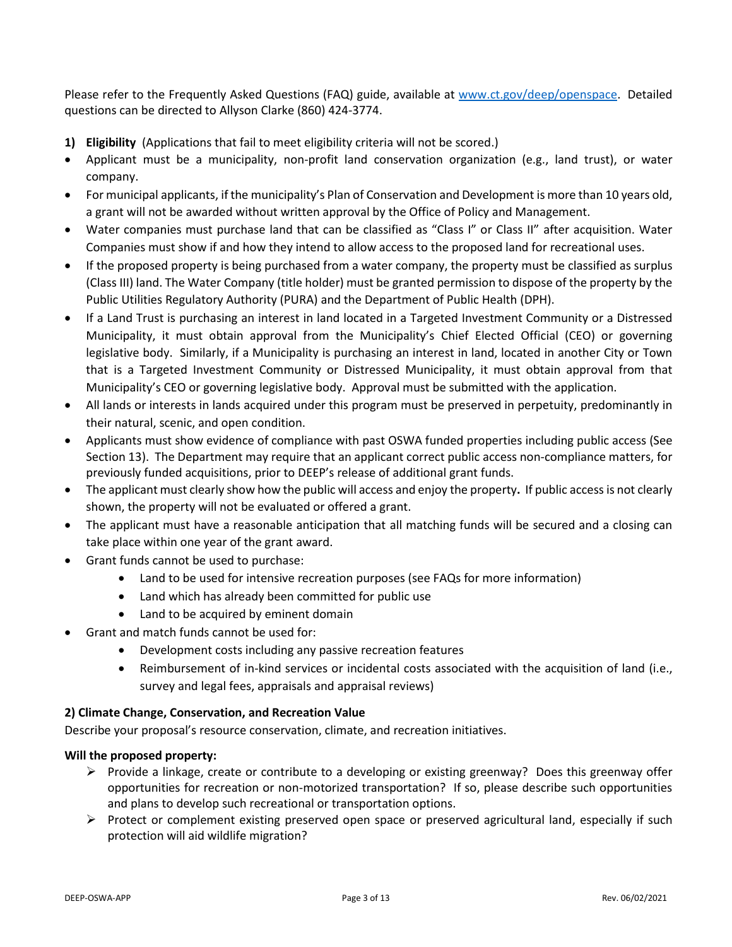Please refer to the Frequently Asked Questions (FAQ) guide, available at [www.ct.gov/deep/openspace.](http://www.ct.gov/deep/openspace) Detailed questions can be directed to Allyson Clarke (860) 424-3774.

- **1) Eligibility** (Applications that fail to meet eligibility criteria will not be scored.)
- Applicant must be a municipality, non-profit land conservation organization (e.g., land trust), or water company.
- For municipal applicants, if the municipality's Plan of Conservation and Development is more than 10 years old, a grant will not be awarded without written approval by the Office of Policy and Management.
- Water companies must purchase land that can be classified as "Class I" or Class II" after acquisition. Water Companies must show if and how they intend to allow access to the proposed land for recreational uses.
- If the proposed property is being purchased from a water company, the property must be classified as surplus (Class III) land. The Water Company (title holder) must be granted permission to dispose of the property by the Public Utilities Regulatory Authority (PURA) and the Department of Public Health (DPH).
- If a Land Trust is purchasing an interest in land located in a Targeted Investment Community or a Distressed Municipality, it must obtain approval from the Municipality's Chief Elected Official (CEO) or governing legislative body. Similarly, if a Municipality is purchasing an interest in land, located in another City or Town that is a Targeted Investment Community or Distressed Municipality, it must obtain approval from that Municipality's CEO or governing legislative body. Approval must be submitted with the application.
- All lands or interests in lands acquired under this program must be preserved in perpetuity, predominantly in their natural, scenic, and open condition.
- Applicants must show evidence of compliance with past OSWA funded properties including public access (See Section 13). The Department may require that an applicant correct public access non-compliance matters, for previously funded acquisitions, prior to DEEP's release of additional grant funds.
- The applicant must clearly show how the public will access and enjoy the property**.** If public access is not clearly shown, the property will not be evaluated or offered a grant.
- The applicant must have a reasonable anticipation that all matching funds will be secured and a closing can take place within one year of the grant award.
- Grant funds cannot be used to purchase:
	- Land to be used for intensive recreation purposes (see FAQs for more information)
	- Land which has already been committed for public use
	- Land to be acquired by eminent domain
- Grant and match funds cannot be used for:
	- Development costs including any passive recreation features
	- Reimbursement of in-kind services or incidental costs associated with the acquisition of land (i.e., survey and legal fees, appraisals and appraisal reviews)

# **2) Climate Change, Conservation, and Recreation Value**

Describe your proposal's resource conservation, climate, and recreation initiatives.

#### **Will the proposed property:**

- $\triangleright$  Provide a linkage, create or contribute to a developing or existing greenway? Does this greenway offer opportunities for recreation or non-motorized transportation? If so, please describe such opportunities and plans to develop such recreational or transportation options.
- $\triangleright$  Protect or complement existing preserved open space or preserved agricultural land, especially if such protection will aid wildlife migration?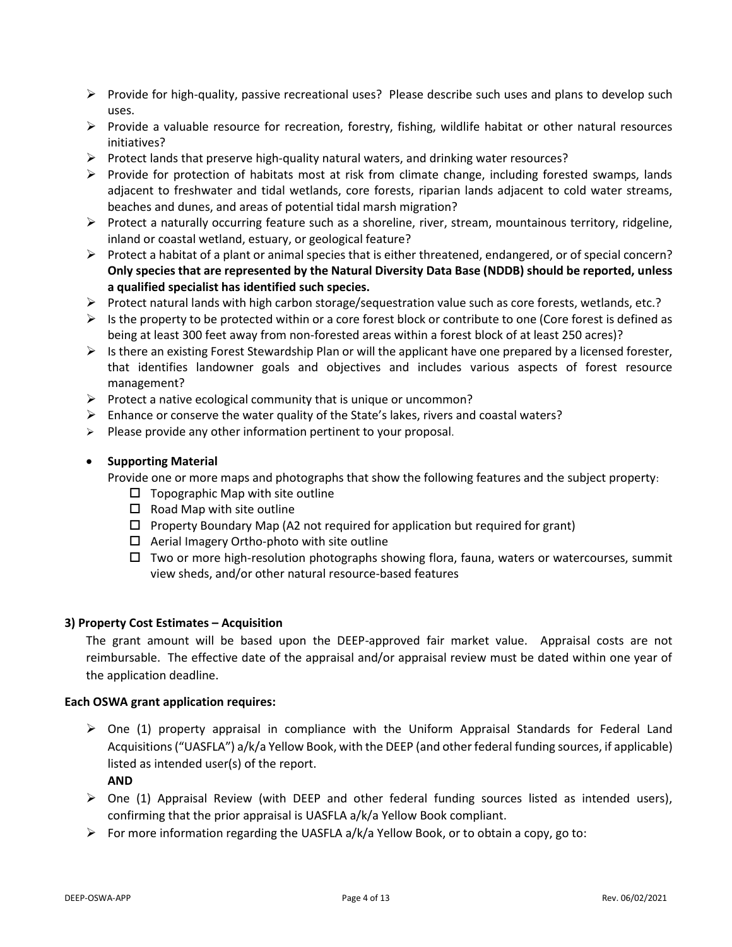- $\triangleright$  Provide for high-quality, passive recreational uses? Please describe such uses and plans to develop such uses.
- $\triangleright$  Provide a valuable resource for recreation, forestry, fishing, wildlife habitat or other natural resources initiatives?
- $\triangleright$  Protect lands that preserve high-quality natural waters, and drinking water resources?
- $\triangleright$  Provide for protection of habitats most at risk from climate change, including forested swamps, lands adjacent to freshwater and tidal wetlands, core forests, riparian lands adjacent to cold water streams, beaches and dunes, and areas of potential tidal marsh migration?
- ➢ Protect a naturally occurring feature such as a shoreline, river, stream, mountainous territory, ridgeline, inland or coastal wetland, estuary, or geological feature?
- ➢ Protect a habitat of a plant or animal species that is either threatened, endangered, or of special concern? **Only species that are represented by the Natural Diversity Data Base (NDDB) should be reported, unless a qualified specialist has identified such species.**
- ➢ Protect natural lands with high carbon storage/sequestration value such as core forests, wetlands, etc.?
- $\triangleright$  Is the property to be protected within or a core forest block or contribute to one (Core forest is defined as being at least 300 feet away from non-forested areas within a forest block of at least 250 acres)?
- $\triangleright$  Is there an existing Forest Stewardship Plan or will the applicant have one prepared by a licensed forester, that identifies landowner goals and objectives and includes various aspects of forest resource management?
- $\triangleright$  Protect a native ecological community that is unique or uncommon?
- $\triangleright$  Enhance or conserve the water quality of the State's lakes, rivers and coastal waters?
- ➢ Please provide any other information pertinent to your proposal.

#### • **Supporting Material**

Provide one or more maps and photographs that show the following features and the subject property:

- $\square$  Topographic Map with site outline
- $\square$  Road Map with site outline
- $\Box$  Property Boundary Map (A2 not required for application but required for grant)
- $\Box$  Aerial Imagery Ortho-photo with site outline
- $\Box$  Two or more high-resolution photographs showing flora, fauna, waters or watercourses, summit view sheds, and/or other natural resource-based features

#### **3) Property Cost Estimates – Acquisition**

The grant amount will be based upon the DEEP-approved fair market value. Appraisal costs are not reimbursable. The effective date of the appraisal and/or appraisal review must be dated within one year of the application deadline.

#### **Each OSWA grant application requires:**

 $\triangleright$  One (1) property appraisal in compliance with the Uniform Appraisal Standards for Federal Land Acquisitions("UASFLA") a/k/a Yellow Book, with the DEEP (and other federal funding sources, if applicable) listed as intended user(s) of the report.

**AND**

- $\triangleright$  One (1) Appraisal Review (with DEEP and other federal funding sources listed as intended users), confirming that the prior appraisal is UASFLA a/k/a Yellow Book compliant.
- $\triangleright$  For more information regarding the UASFLA a/k/a Yellow Book, or to obtain a copy, go to: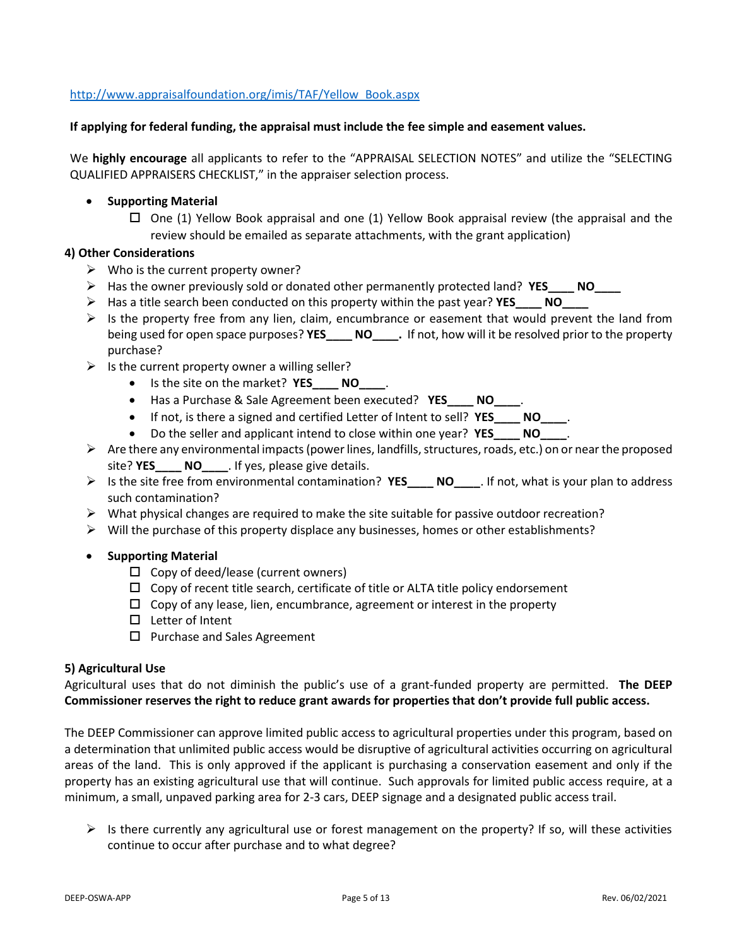# [http://www.appraisalfoundation.org/imis/TAF/Yellow\\_Book.aspx](http://www.appraisalfoundation.org/imis/TAF/Yellow_Book.aspx)

#### **If applying for federal funding, the appraisal must include the fee simple and easement values.**

We **highly encourage** all applicants to refer to the "APPRAISAL SELECTION NOTES" and utilize the "SELECTING QUALIFIED APPRAISERS CHECKLIST," in the appraiser selection process.

## • **Supporting Material**

 $\Box$  One (1) Yellow Book appraisal and one (1) Yellow Book appraisal review (the appraisal and the review should be emailed as separate attachments, with the grant application)

## **4) Other Considerations**

- $\triangleright$  Who is the current property owner?
- ➢ Has the owner previously sold or donated other permanently protected land? **YES\_\_\_\_ NO\_\_\_\_**
- ➢ Has a title search been conducted on this property within the past year? **YES\_\_\_\_ NO\_\_\_\_**
- $\triangleright$  Is the property free from any lien, claim, encumbrance or easement that would prevent the land from being used for open space purposes? **YES\_\_\_\_ NO\_\_\_\_.** If not, how will it be resolved prior to the property purchase?
- $\triangleright$  Is the current property owner a willing seller?
	- Is the site on the market? **YES\_\_\_\_ NO\_\_\_\_**.
	- Has a Purchase & Sale Agreement been executed? **YES\_\_\_\_ NO\_\_\_\_**.
	- If not, is there a signed and certified Letter of Intent to sell? **YES\_\_\_\_ NO\_\_\_\_**.
	- Do the seller and applicant intend to close within one year? **YES\_\_\_\_ NO\_\_\_\_**.
- ➢ Are there any environmental impacts(power lines, landfills, structures, roads, etc.) on or near the proposed site? **YES\_\_\_\_ NO\_\_\_\_**. If yes, please give details.
- ➢ Is the site free from environmental contamination? **YES\_\_\_\_ NO\_\_\_\_**. If not, what is your plan to address such contamination?
- $\triangleright$  What physical changes are required to make the site suitable for passive outdoor recreation?
- $\triangleright$  Will the purchase of this property displace any businesses, homes or other establishments?
- **Supporting Material**
	- $\Box$  Copy of deed/lease (current owners)
	- $\square$  Copy of recent title search, certificate of title or ALTA title policy endorsement
	- $\Box$  Copy of any lease, lien, encumbrance, agreement or interest in the property
	- $\Box$  Letter of Intent
	- $\Box$  Purchase and Sales Agreement

#### **5) Agricultural Use**

Agricultural uses that do not diminish the public's use of a grant-funded property are permitted. **The DEEP Commissioner reserves the right to reduce grant awards for properties that don't provide full public access.**

The DEEP Commissioner can approve limited public access to agricultural properties under this program, based on a determination that unlimited public access would be disruptive of agricultural activities occurring on agricultural areas of the land. This is only approved if the applicant is purchasing a conservation easement and only if the property has an existing agricultural use that will continue. Such approvals for limited public access require, at a minimum, a small, unpaved parking area for 2-3 cars, DEEP signage and a designated public access trail.

 $\triangleright$  Is there currently any agricultural use or forest management on the property? If so, will these activities continue to occur after purchase and to what degree?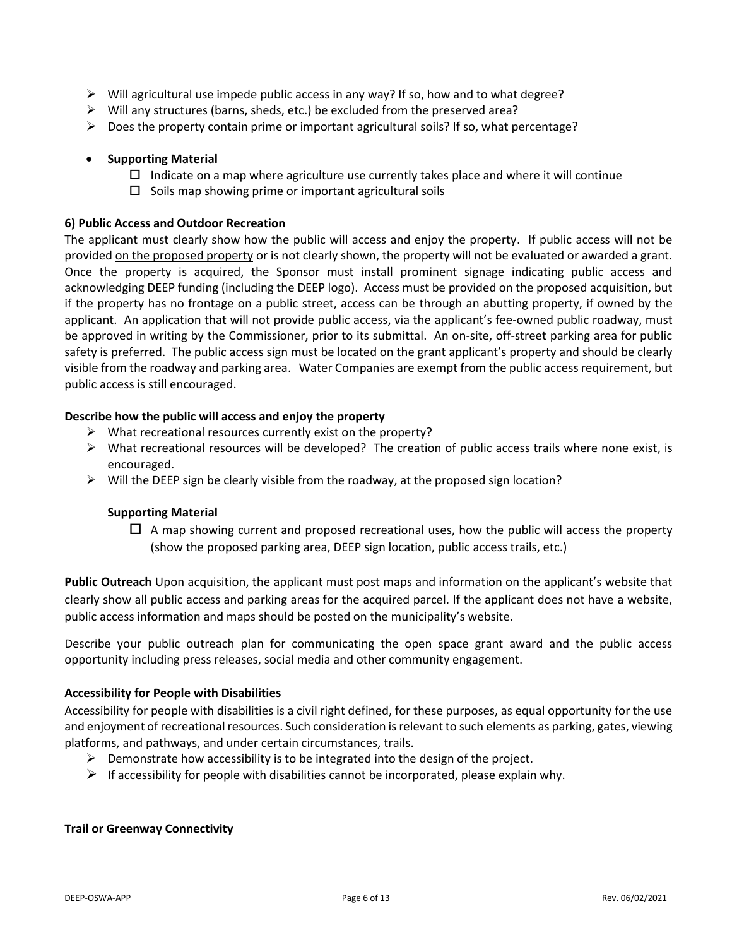- $\triangleright$  Will agricultural use impede public access in any way? If so, how and to what degree?
- ➢ Will any structures (barns, sheds, etc.) be excluded from the preserved area?
- $\triangleright$  Does the property contain prime or important agricultural soils? If so, what percentage?

## • **Supporting Material**

- $\Box$  Indicate on a map where agriculture use currently takes place and where it will continue
- $\square$  Soils map showing prime or important agricultural soils

#### **6) Public Access and Outdoor Recreation**

The applicant must clearly show how the public will access and enjoy the property. If public access will not be provided on the proposed property or is not clearly shown, the property will not be evaluated or awarded a grant. Once the property is acquired, the Sponsor must install prominent signage indicating public access and acknowledging DEEP funding (including the DEEP logo). Access must be provided on the proposed acquisition, but if the property has no frontage on a public street, access can be through an abutting property, if owned by the applicant. An application that will not provide public access, via the applicant's fee-owned public roadway, must be approved in writing by the Commissioner, prior to its submittal. An on-site, off-street parking area for public safety is preferred. The public access sign must be located on the grant applicant's property and should be clearly visible from the roadway and parking area. Water Companies are exempt from the public access requirement, but public access is still encouraged.

## **Describe how the public will access and enjoy the property**

- ➢ What recreational resources currently exist on the property?
- $\triangleright$  What recreational resources will be developed? The creation of public access trails where none exist, is encouraged.
- $\triangleright$  Will the DEEP sign be clearly visible from the roadway, at the proposed sign location?

#### **Supporting Material**

 $\Box$  A map showing current and proposed recreational uses, how the public will access the property (show the proposed parking area, DEEP sign location, public access trails, etc.)

**Public Outreach** Upon acquisition, the applicant must post maps and information on the applicant's website that clearly show all public access and parking areas for the acquired parcel. If the applicant does not have a website, public access information and maps should be posted on the municipality's website.

Describe your public outreach plan for communicating the open space grant award and the public access opportunity including press releases, social media and other community engagement.

#### **Accessibility for People with Disabilities**

Accessibility for people with disabilities is a civil right defined, for these purposes, as equal opportunity for the use and enjoyment of recreational resources. Such consideration is relevant to such elements as parking, gates, viewing platforms, and pathways, and under certain circumstances, trails.

- $\triangleright$  Demonstrate how accessibility is to be integrated into the design of the project.
- $\triangleright$  If accessibility for people with disabilities cannot be incorporated, please explain why.

#### **Trail or Greenway Connectivity**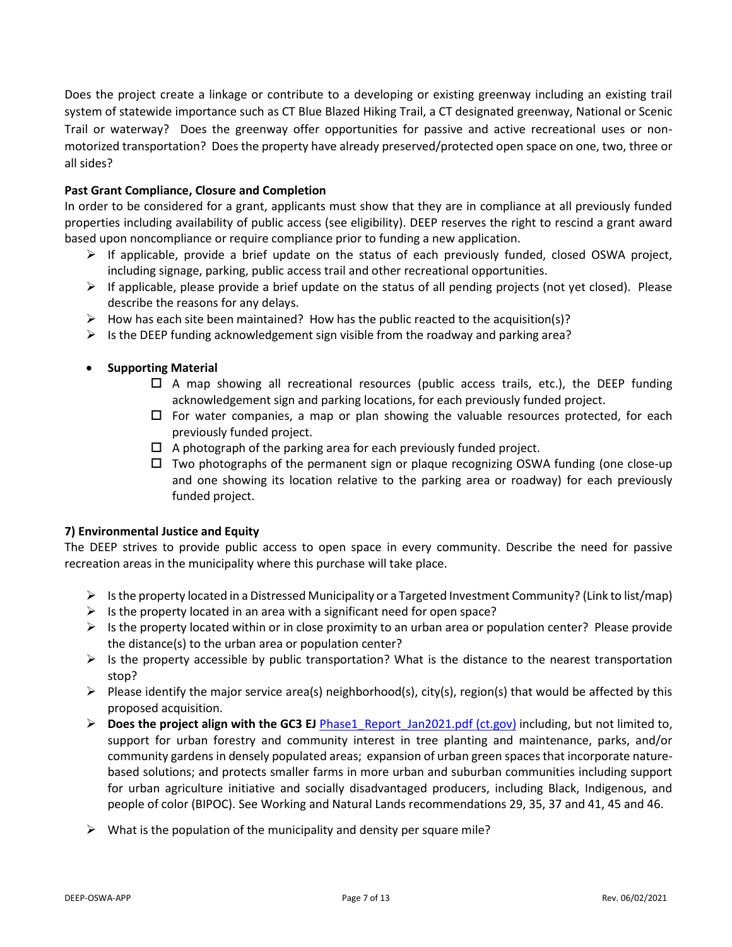Does the project create a linkage or contribute to a developing or existing greenway including an existing trail system of statewide importance such as CT Blue Blazed Hiking Trail, a CT designated greenway, National or Scenic Trail or waterway? Does the greenway offer opportunities for passive and active recreational uses or nonmotorized transportation? Does the property have already preserved/protected open space on one, two, three or all sides?

## **Past Grant Compliance, Closure and Completion**

In order to be considered for a grant, applicants must show that they are in compliance at all previously funded properties including availability of public access (see eligibility). DEEP reserves the right to rescind a grant award based upon noncompliance or require compliance prior to funding a new application.

- $\triangleright$  If applicable, provide a brief update on the status of each previously funded, closed OSWA project, including signage, parking, public access trail and other recreational opportunities.
- $\triangleright$  If applicable, please provide a brief update on the status of all pending projects (not yet closed). Please describe the reasons for any delays.
- $\triangleright$  How has each site been maintained? How has the public reacted to the acquisition(s)?
- $\triangleright$  Is the DEEP funding acknowledgement sign visible from the roadway and parking area?
- **Supporting Material**
	- $\Box$  A map showing all recreational resources (public access trails, etc.), the DEEP funding acknowledgement sign and parking locations, for each previously funded project.
	- $\Box$  For water companies, a map or plan showing the valuable resources protected, for each previously funded project.
	- $\Box$  A photograph of the parking area for each previously funded project.
	- $\Box$  Two photographs of the permanent sign or plaque recognizing OSWA funding (one close-up and one showing its location relative to the parking area or roadway) for each previously funded project.

#### **7) Environmental Justice and Equity**

The DEEP strives to provide public access to open space in every community. Describe the need for passive recreation areas in the municipality where this purchase will take place.

- $\triangleright$  Is the property located in a Distressed Municipality or a Targeted Investment Community? (Link to list/map)
- $\triangleright$  Is the property located in an area with a significant need for open space?
- $\triangleright$  Is the property located within or in close proximity to an urban area or population center? Please provide the distance(s) to the urban area or population center?
- $\triangleright$  Is the property accessible by public transportation? What is the distance to the nearest transportation stop?
- $\triangleright$  Please identify the major service area(s) neighborhood(s), city(s), region(s) that would be affected by this proposed acquisition.
- ➢ **Does the project align with the GC3 EJ** [Phase1\\_Report\\_Jan2021.pdf \(ct.gov\)](https://portal.ct.gov/-/media/DEEP/climatechange/GC3/GC3_Phase1_Report_Jan2021.pdf) including, but not limited to, support for urban forestry and community interest in tree planting and maintenance, parks, and/or community gardens in densely populated areas; expansion of urban green spaces that incorporate naturebased solutions; and protects smaller farms in more urban and suburban communities including support for urban agriculture initiative and socially disadvantaged producers, including Black, Indigenous, and people of color (BIPOC). See Working and Natural Lands recommendations 29, 35, 37 and 41, 45 and 46.
- $\triangleright$  What is the population of the municipality and density per square mile?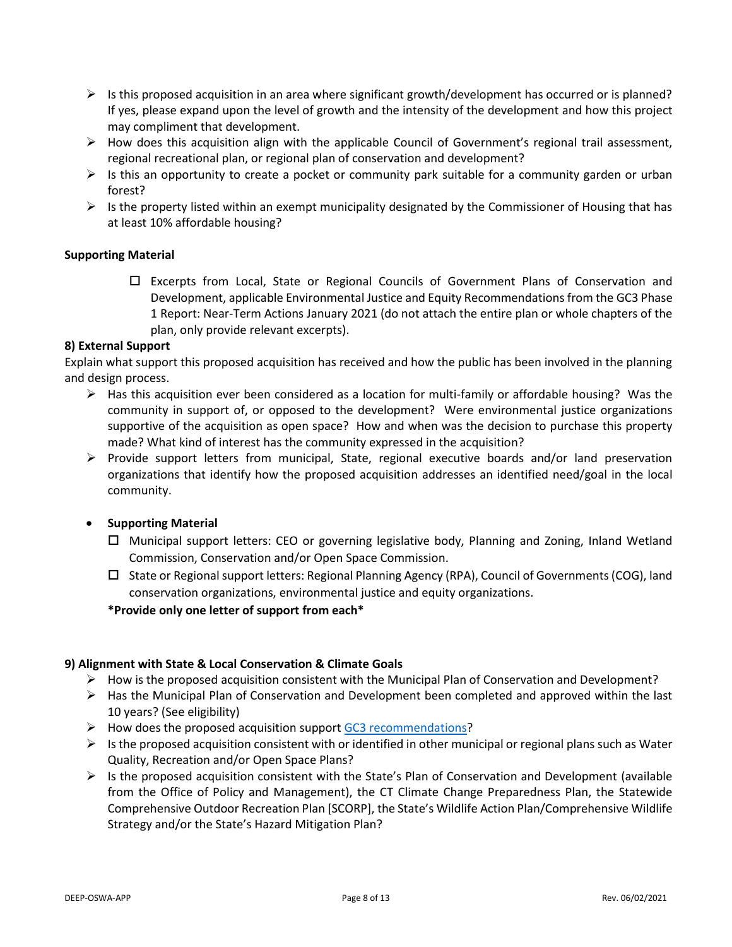- $\triangleright$  Is this proposed acquisition in an area where significant growth/development has occurred or is planned? If yes, please expand upon the level of growth and the intensity of the development and how this project may compliment that development.
- $\triangleright$  How does this acquisition align with the applicable Council of Government's regional trail assessment, regional recreational plan, or regional plan of conservation and development?
- $\triangleright$  Is this an opportunity to create a pocket or community park suitable for a community garden or urban forest?
- $\triangleright$  Is the property listed within an exempt municipality designated by the Commissioner of Housing that has at least 10% affordable housing?

# **Supporting Material**

 Excerpts from Local, State or Regional Councils of Government Plans of Conservation and Development, applicable Environmental Justice and Equity Recommendations from the GC3 Phase 1 Report: Near-Term Actions January 2021 (do not attach the entire plan or whole chapters of the plan, only provide relevant excerpts).

## **8) External Support**

Explain what support this proposed acquisition has received and how the public has been involved in the planning and design process.

- $\triangleright$  Has this acquisition ever been considered as a location for multi-family or affordable housing? Was the community in support of, or opposed to the development? Were environmental justice organizations supportive of the acquisition as open space? How and when was the decision to purchase this property made? What kind of interest has the community expressed in the acquisition?
- ➢ Provide support letters from municipal, State, regional executive boards and/or land preservation organizations that identify how the proposed acquisition addresses an identified need/goal in the local community.

# • **Supporting Material**

- $\Box$  Municipal support letters: CEO or governing legislative body, Planning and Zoning, Inland Wetland Commission, Conservation and/or Open Space Commission.
- $\Box$  State or Regional support letters: Regional Planning Agency (RPA), Council of Governments (COG), land conservation organizations, environmental justice and equity organizations.

# **\*Provide only one letter of support from each\***

# **9) Alignment with State & Local Conservation & Climate Goals**

- $\triangleright$  How is the proposed acquisition consistent with the Municipal Plan of Conservation and Development?
- $\triangleright$  Has the Municipal Plan of Conservation and Development been completed and approved within the last 10 years? (See eligibility)
- ➢ How does the proposed acquisition support [GC3 recommendations?](https://portal.ct.gov/DEEP/Climate-Change/GC3/Governors-Council-on-Climate-Change)
- $\triangleright$  Is the proposed acquisition consistent with or identified in other municipal or regional plans such as Water Quality, Recreation and/or Open Space Plans?
- $\triangleright$  Is the proposed acquisition consistent with the State's Plan of Conservation and Development (available from the Office of Policy and Management), the CT Climate Change Preparedness Plan, the Statewide Comprehensive Outdoor Recreation Plan [SCORP], the State's Wildlife Action Plan/Comprehensive Wildlife Strategy and/or the State's Hazard Mitigation Plan?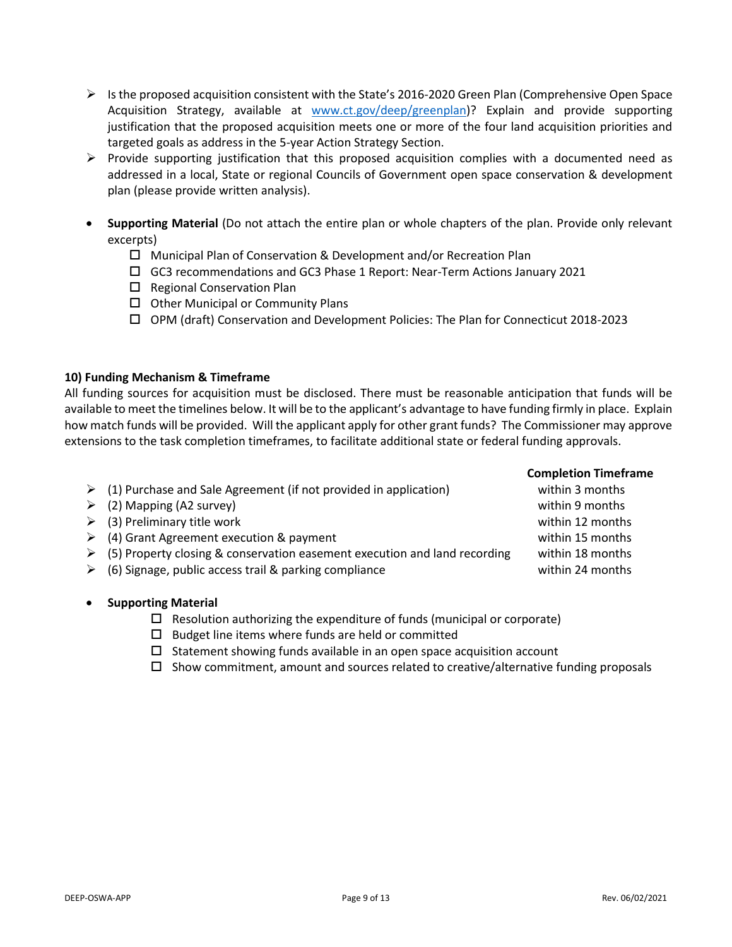- $\triangleright$  Is the proposed acquisition consistent with the State's 2016-2020 Green Plan (Comprehensive Open Space Acquisition Strategy, available at [www.ct.gov/deep/greenplan\)](http://www.ct.gov/deep/greenplan)? Explain and provide supporting justification that the proposed acquisition meets one or more of the four land acquisition priorities and targeted goals as address in the 5-year Action Strategy Section.
- $\triangleright$  Provide supporting justification that this proposed acquisition complies with a documented need as addressed in a local, State or regional Councils of Government open space conservation & development plan (please provide written analysis).
- **Supporting Material** (Do not attach the entire plan or whole chapters of the plan. Provide only relevant excerpts)
	- □ Municipal Plan of Conservation & Development and/or Recreation Plan
	- GC3 recommendations and GC3 Phase 1 Report: Near-Term Actions January 2021
	- $\square$  Regional Conservation Plan
	- $\Box$  Other Municipal or Community Plans
	- OPM (draft) Conservation and Development Policies: The Plan for Connecticut 2018-2023

## **10) Funding Mechanism & Timeframe**

All funding sources for acquisition must be disclosed. There must be reasonable anticipation that funds will be available to meet the timelines below. It will be to the applicant's advantage to have funding firmly in place. Explain how match funds will be provided. Will the applicant apply for other grant funds? The Commissioner may approve extensions to the task completion timeframes, to facilitate additional state or federal funding approvals.

|                                                                                            | <b>Completion Timeframe</b> |
|--------------------------------------------------------------------------------------------|-----------------------------|
| $\triangleright$ (1) Purchase and Sale Agreement (if not provided in application)          | within 3 months             |
| $\triangleright$ (2) Mapping (A2 survey)                                                   | within 9 months             |
| $\triangleright$ (3) Preliminary title work                                                | within 12 months            |
| $\triangleright$ (4) Grant Agreement execution & payment                                   | within 15 months            |
| $\triangleright$ (5) Property closing & conservation easement execution and land recording | within 18 months            |
| $\triangleright$ (6) Signage, public access trail & parking compliance                     | within 24 months            |
|                                                                                            |                             |

# • **Supporting Material**

- $\Box$  Resolution authorizing the expenditure of funds (municipal or corporate)
- $\square$  Budget line items where funds are held or committed
- $\square$  Statement showing funds available in an open space acquisition account
- $\Box$  Show commitment, amount and sources related to creative/alternative funding proposals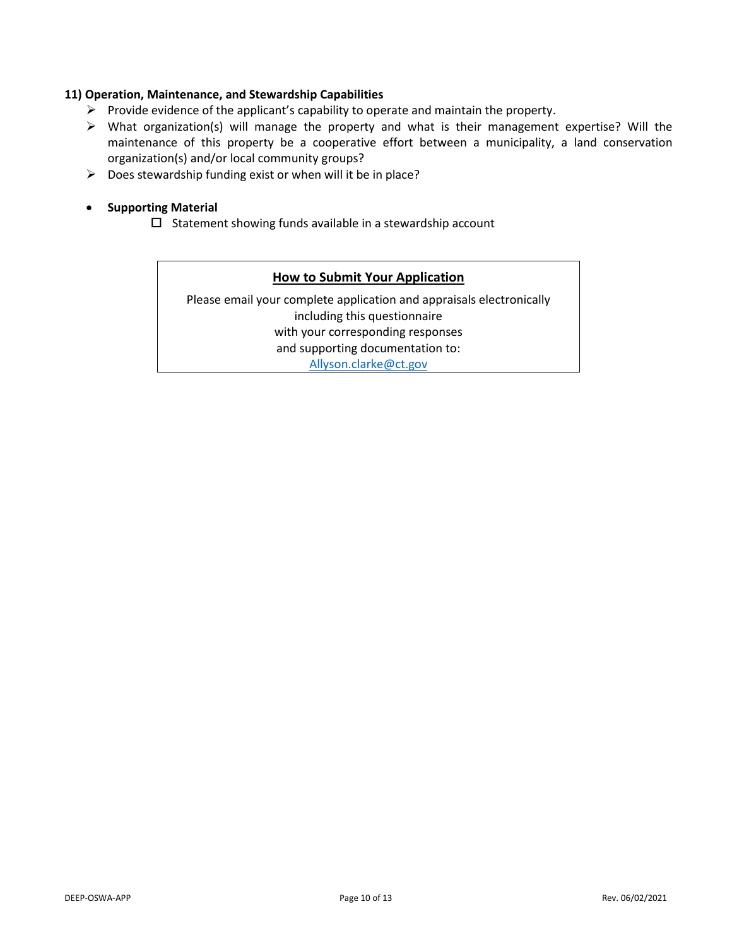# **11) Operation, Maintenance, and Stewardship Capabilities**

- $\triangleright$  Provide evidence of the applicant's capability to operate and maintain the property.
- ➢ What organization(s) will manage the property and what is their management expertise? Will the maintenance of this property be a cooperative effort between a municipality, a land conservation organization(s) and/or local community groups?
- $\triangleright$  Does stewardship funding exist or when will it be in place?

## • **Supporting Material**

 $\square$  Statement showing funds available in a stewardship account

## **How to Submit Your Application**

Please email your complete application and appraisals electronically including this questionnaire with your corresponding responses and supporting documentation to:

[Allyson.clarke@ct.gov](mailto:Allyson.clarke@ct.go)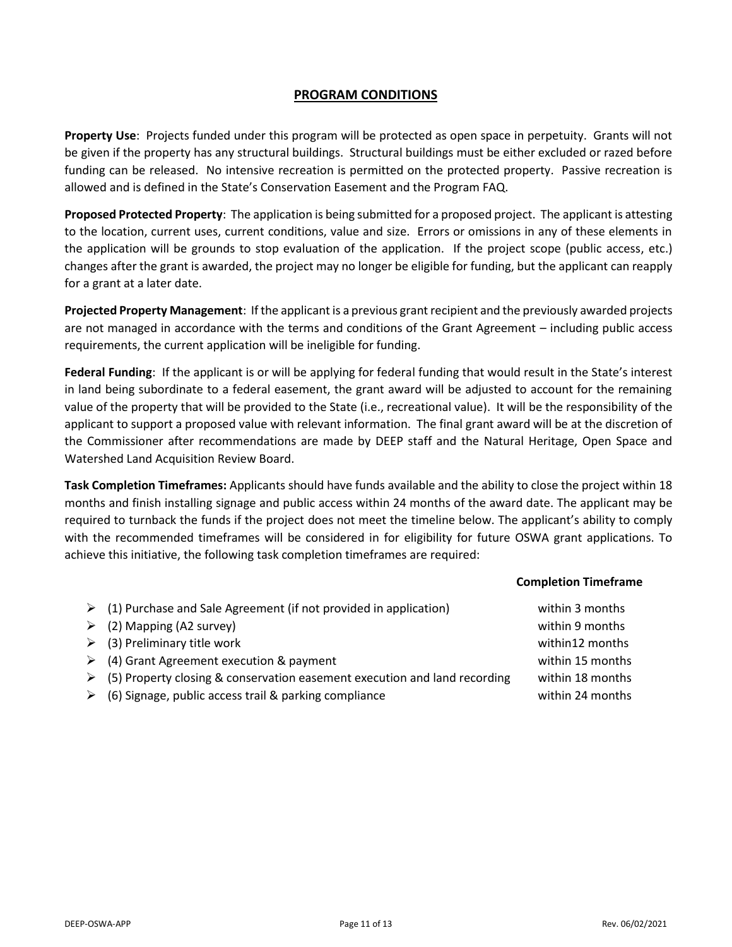# **PROGRAM CONDITIONS**

**Property Use**: Projects funded under this program will be protected as open space in perpetuity. Grants will not be given if the property has any structural buildings. Structural buildings must be either excluded or razed before funding can be released. No intensive recreation is permitted on the protected property. Passive recreation is allowed and is defined in the State's Conservation Easement and the Program FAQ.

**Proposed Protected Property**: The application is being submitted for a proposed project. The applicant is attesting to the location, current uses, current conditions, value and size. Errors or omissions in any of these elements in the application will be grounds to stop evaluation of the application. If the project scope (public access, etc.) changes after the grant is awarded, the project may no longer be eligible for funding, but the applicant can reapply for a grant at a later date.

**Projected Property Management**: If the applicant is a previous grant recipient and the previously awarded projects are not managed in accordance with the terms and conditions of the Grant Agreement – including public access requirements, the current application will be ineligible for funding.

**Federal Funding**: If the applicant is or will be applying for federal funding that would result in the State's interest in land being subordinate to a federal easement, the grant award will be adjusted to account for the remaining value of the property that will be provided to the State (i.e., recreational value). It will be the responsibility of the applicant to support a proposed value with relevant information. The final grant award will be at the discretion of the Commissioner after recommendations are made by DEEP staff and the Natural Heritage, Open Space and Watershed Land Acquisition Review Board.

**Task Completion Timeframes:** Applicants should have funds available and the ability to close the project within 18 months and finish installing signage and public access within 24 months of the award date. The applicant may be required to turnback the funds if the project does not meet the timeline below. The applicant's ability to comply with the recommended timeframes will be considered in for eligibility for future OSWA grant applications. To achieve this initiative, the following task completion timeframes are required:

# **Completion Timeframe**

| $\triangleright$ (1) Purchase and Sale Agreement (if not provided in application)<br>$\geq$ (2) Mapping (A2 survey)                                                                                                                                                   | within 3 months<br>within 9 months<br>within12 months    |
|-----------------------------------------------------------------------------------------------------------------------------------------------------------------------------------------------------------------------------------------------------------------------|----------------------------------------------------------|
| $\geq$ (3) Preliminary title work<br>$\triangleright$ (4) Grant Agreement execution & payment<br>$\triangleright$ (5) Property closing & conservation easement execution and land recording<br>$\triangleright$ (6) Signage, public access trail & parking compliance | within 15 months<br>within 18 months<br>within 24 months |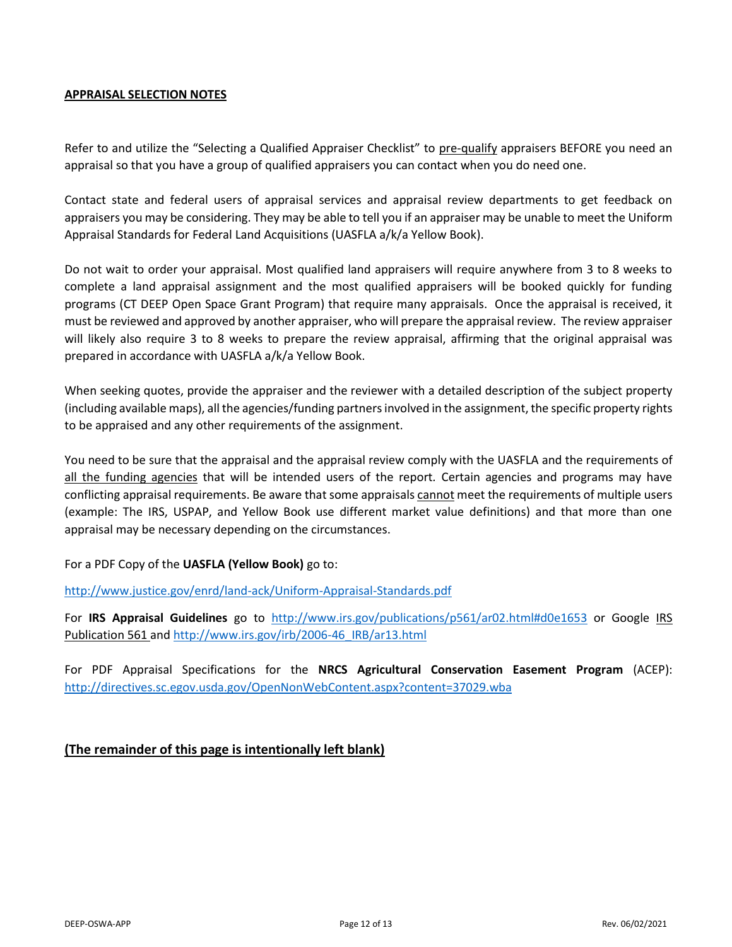# **APPRAISAL SELECTION NOTES**

Refer to and utilize the "Selecting a Qualified Appraiser Checklist" to pre-qualify appraisers BEFORE you need an appraisal so that you have a group of qualified appraisers you can contact when you do need one.

Contact state and federal users of appraisal services and appraisal review departments to get feedback on appraisers you may be considering. They may be able to tell you if an appraiser may be unable to meet the Uniform Appraisal Standards for Federal Land Acquisitions (UASFLA a/k/a Yellow Book).

Do not wait to order your appraisal. Most qualified land appraisers will require anywhere from 3 to 8 weeks to complete a land appraisal assignment and the most qualified appraisers will be booked quickly for funding programs (CT DEEP Open Space Grant Program) that require many appraisals. Once the appraisal is received, it must be reviewed and approved by another appraiser, who will prepare the appraisal review. The review appraiser will likely also require 3 to 8 weeks to prepare the review appraisal, affirming that the original appraisal was prepared in accordance with UASFLA a/k/a Yellow Book.

When seeking quotes, provide the appraiser and the reviewer with a detailed description of the subject property (including available maps), all the agencies/funding partners involved in the assignment, the specific property rights to be appraised and any other requirements of the assignment.

You need to be sure that the appraisal and the appraisal review comply with the UASFLA and the requirements of all the funding agencies that will be intended users of the report*.* Certain agencies and programs may have conflicting appraisal requirements. Be aware that some appraisals cannot meet the requirements of multiple users (example: The IRS, USPAP, and Yellow Book use different market value definitions) and that more than one appraisal may be necessary depending on the circumstances.

For a PDF Copy of the **UASFLA (Yellow Book)** go to:

<http://www.justice.gov/enrd/land-ack/Uniform-Appraisal-Standards.pdf>

For **IRS Appraisal Guidelines** go to <http://www.irs.gov/publications/p561/ar02.html#d0e1653> or Google IRS Publication 561 and [http://www.irs.gov/irb/2006-46\\_IRB/ar13.html](http://www.irs.gov/irb/2006-46_IRB/ar13.html)

For PDF Appraisal Specifications for the **NRCS Agricultural Conservation Easement Program** (ACEP): <http://directives.sc.egov.usda.gov/OpenNonWebContent.aspx?content=37029.wba>

# **(The remainder of this page is intentionally left blank)**